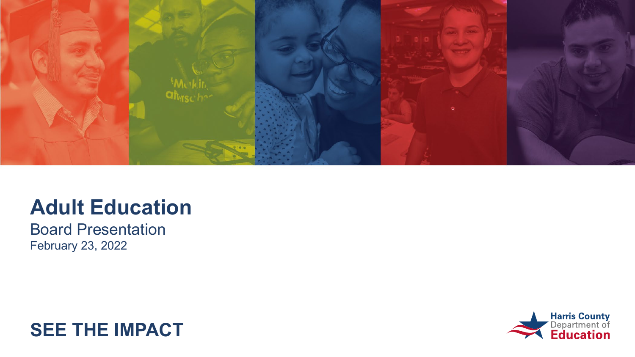

### **Adult Education**

Board Presentation February 23, 2022



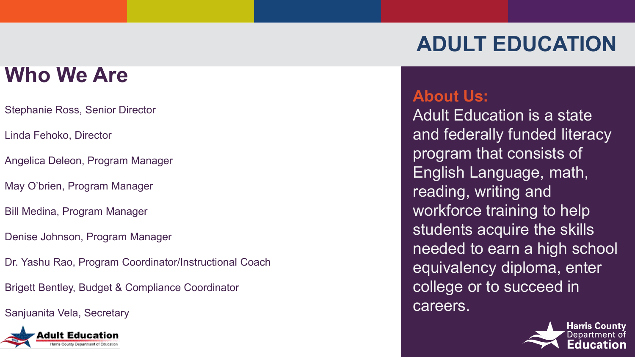## **Who We Are**

- Stephanie Ross, Senior Director
- Linda Fehoko, Director
- Angelica Deleon, Program Manager
- May O'brien, Program Manager
- Bill Medina, Program Manager
- Denise Johnson, Program Manager
- Dr. Yashu Rao, Program Coordinator/Instructional Coach
- Brigett Bentley, Budget & Compliance Coordinator
- Sanjuanita Vela, Secretary



#### **About Us:**

Adult Education is a state and federally funded literacy program that consists of English Language, math, reading, writing and workforce training to help students acquire the skills needed to earn a high school equivalency diploma, enter college or to succeed in careers.

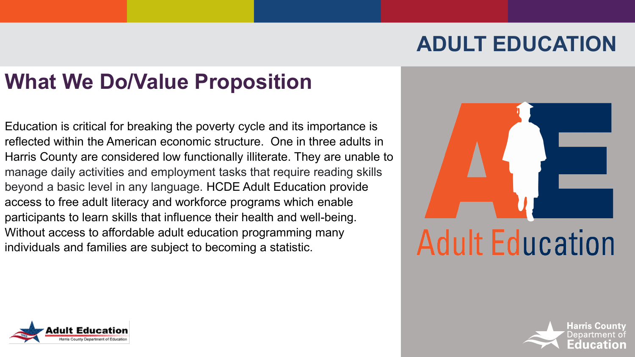## **What We Do/Value Proposition**

Education is critical for breaking the poverty cycle and its importance is reflected within the American economic structure. One in three adults in Harris County are considered low functionally illiterate. They are unable to manage daily activities and employment tasks that require reading skills beyond a basic level in any language. HCDE Adult Education provide access to free adult literacy and workforce programs which enable participants to learn skills that influence their health and well-being. Without access to affordable adult education programming many individuals and families are subject to becoming a statistic.





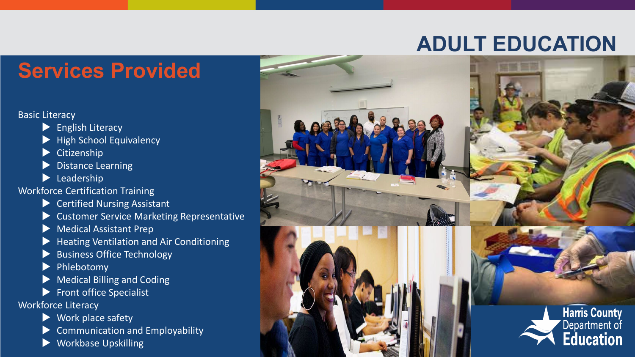#### **Services Provided**

#### Basic Literacy

- $\blacktriangleright$  English Literacy
- High School Equivalency
- Citizenship
- Distance Learning
- **Leadership**
- Workforce Certification Training
	- ▶ Certified Nursing Assistant
	- Customer Service Marketing Representative
	- **Medical Assistant Prep**
	- Heating Ventilation and Air Conditioning
	- Business Office Technology
	- Phlebotomy
	- Medical Billing and Coding
	- $\blacktriangleright$  Front office Specialist
- Workforce Literacy
	- ▶ Work place safety
	- Communication and Employability
	- Workbase Upskilling

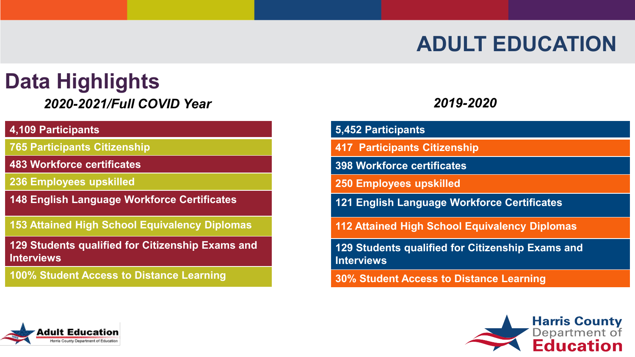## **Data Highlights**

#### S *2020-2021/Full COVID Year*

#### **4,109 Participants**

**765 Participants Citizenship** 

**483 Workforce certificates**

**236 Employees upskilled** 

**148 English Language Workforce Certificates**

**153 Attained High School Equivalency Diplomas**

**129 Students qualified for Citizenship Exams and Interviews**

**100% Student Access to Distance Learning**

#### *2019-2020*

| 5,452 Participants |
|--------------------|
|                    |

**417 Participants Citizenship** 

**398 Workforce certificates**

**250 Employees upskilled** 

**121 English Language Workforce Certificates**

**112 Attained High School Equivalency Diplomas**

**129 Students qualified for Citizenship Exams and Interviews**

**30% Student Access to Distance Learning**



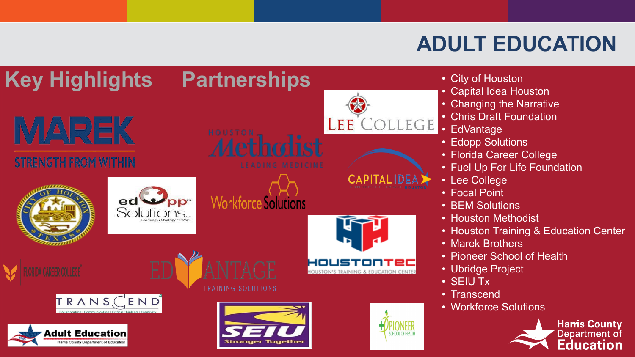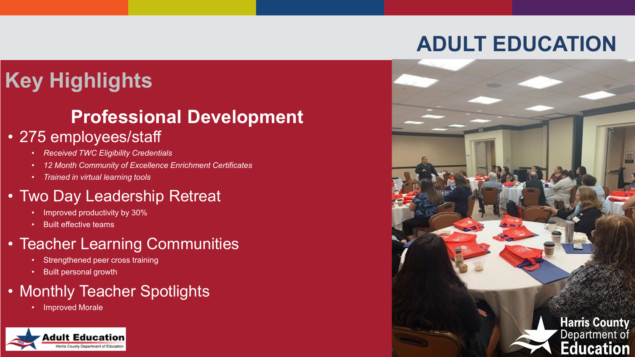## **Key Highlights**

#### **Professional Development**

#### • 275 employees/staff

- *Received TWC Eligibility Credentials*
- *12 Month Community of Excellence Enrichment Certificates*
- *Trained in virtual learning tools*

#### • Two Day Leadership Retreat

- Improved productivity by 30%
- Built effective teams

#### • Teacher Learning Communities

- Strengthened peer cross training
- Built personal growth

#### • Monthly Teacher Spotlights

• Improved Morale



## **ADULT EDUCATION**

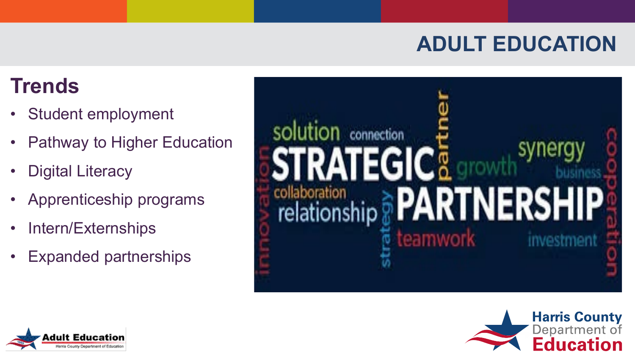### **Trends**

- Student employment
- Pathway to Higher Education
- **Digital Literacy**
- Apprenticeship programs
- Intern/Externships
- Expanded partnerships